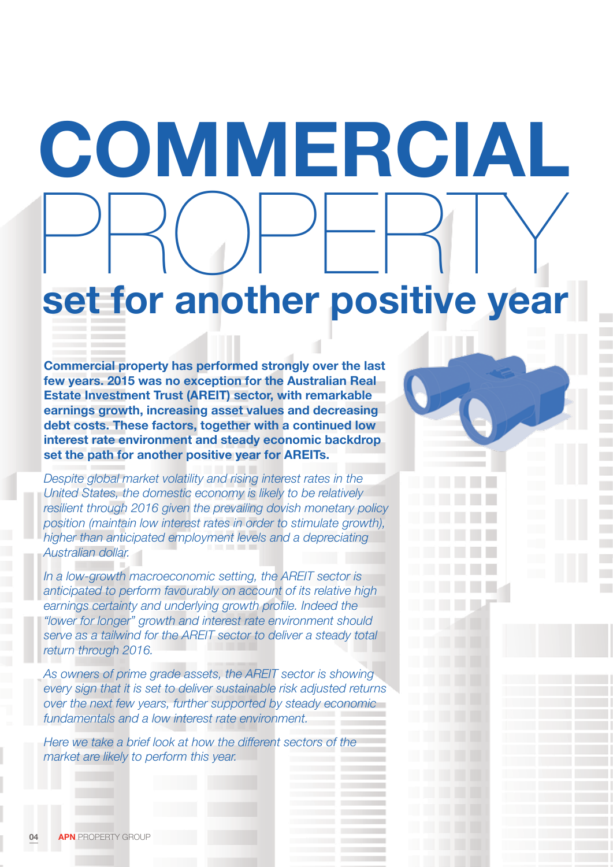# **COMMERCIAL** PROPERTY **set for another positive year**

**Commercial property has performed strongly over the last few years. 2015 was no exception for the Australian Real Estate Investment Trust (AREIT) sector, with remarkable earnings growth, increasing asset values and decreasing debt costs. These factors, together with a continued low interest rate environment and steady economic backdrop set the path for another positive year for AREITs.** 

*Despite global market volatility and rising interest rates in the United States, the domestic economy is likely to be relatively resilient through 2016 given the prevailing dovish monetary policy position (maintain low interest rates in order to stimulate growth), higher than anticipated employment levels and a depreciating Australian dollar.*

*In a low-growth macroeconomic setting, the AREIT sector is anticipated to perform favourably on account of its relative high earnings certainty and underlying growth profile. Indeed the "lower for longer" growth and interest rate environment should serve as a tailwind for the AREIT sector to deliver a steady total return through 2016.* 

*As owners of prime grade assets, the AREIT sector is showing every sign that it is set to deliver sustainable risk adjusted returns over the next few years, further supported by steady economic fundamentals and a low interest rate environment.* 

*Here we take a brief look at how the different sectors of the market are likely to perform this year.*